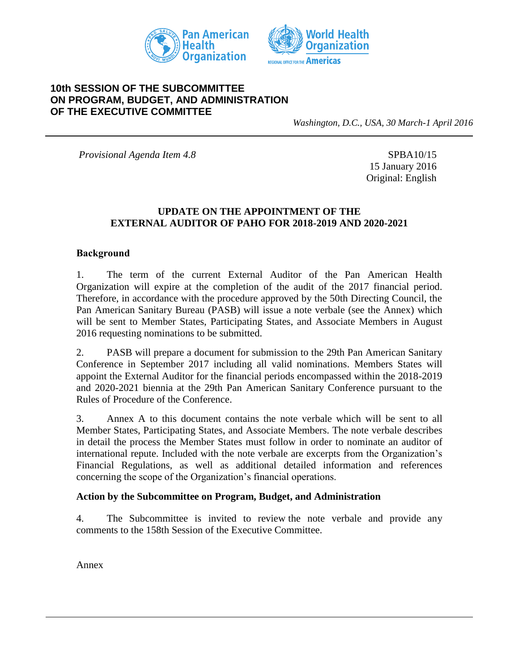



### **10th SESSION OF THE SUBCOMMITTEE ON PROGRAM, BUDGET, AND ADMINISTRATION OF THE EXECUTIVE COMMITTEE**

*Washington, D.C., USA, 30 March-1 April 2016*

*Provisional Agenda Item 4.8* SPBA10/15

15 January 2016 Original: English

### **UPDATE ON THE APPOINTMENT OF THE EXTERNAL AUDITOR OF PAHO FOR 2018-2019 AND 2020-2021**

#### **Background**

1. The term of the current External Auditor of the Pan American Health Organization will expire at the completion of the audit of the 2017 financial period. Therefore, in accordance with the procedure approved by the 50th Directing Council, the Pan American Sanitary Bureau (PASB) will issue a note verbale (see the Annex) which will be sent to Member States, Participating States, and Associate Members in August 2016 requesting nominations to be submitted.

2. PASB will prepare a document for submission to the 29th Pan American Sanitary Conference in September 2017 including all valid nominations. Members States will appoint the External Auditor for the financial periods encompassed within the 2018-2019 and 2020-2021 biennia at the 29th Pan American Sanitary Conference pursuant to the Rules of Procedure of the Conference.

3. Annex A to this document contains the note verbale which will be sent to all Member States, Participating States, and Associate Members. The note verbale describes in detail the process the Member States must follow in order to nominate an auditor of international repute. Included with the note verbale are excerpts from the Organization's Financial Regulations, as well as additional detailed information and references concerning the scope of the Organization's financial operations.

#### **Action by the Subcommittee on Program, Budget, and Administration**

4. The Subcommittee is invited to review the note verbale and provide any comments to the 158th Session of the Executive Committee.

Annex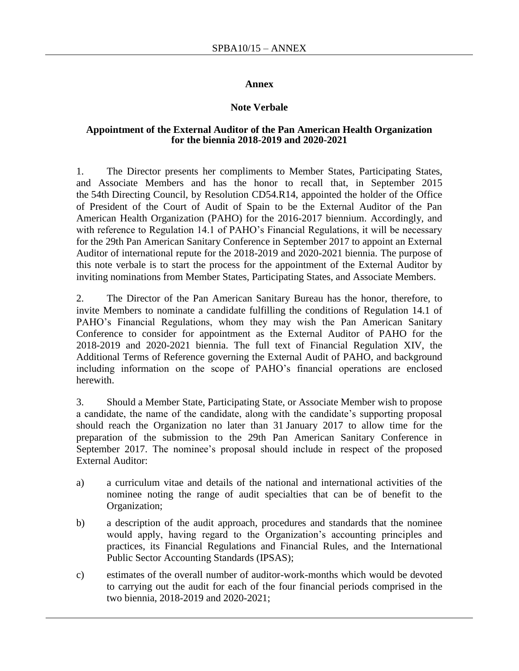#### **Annex**

#### **Note Verbale**

#### **Appointment of the External Auditor of the Pan American Health Organization for the biennia 2018-2019 and 2020-2021**

1. The Director presents her compliments to Member States, Participating States, and Associate Members and has the honor to recall that, in September 2015 the 54th Directing Council, by Resolution CD54.R14, appointed the holder of the Office of President of the Court of Audit of Spain to be the External Auditor of the Pan American Health Organization (PAHO) for the 2016-2017 biennium. Accordingly, and with reference to Regulation 14.1 of PAHO's Financial Regulations, it will be necessary for the 29th Pan American Sanitary Conference in September 2017 to appoint an External Auditor of international repute for the 2018-2019 and 2020-2021 biennia. The purpose of this note verbale is to start the process for the appointment of the External Auditor by inviting nominations from Member States, Participating States, and Associate Members.

2. The Director of the Pan American Sanitary Bureau has the honor, therefore, to invite Members to nominate a candidate fulfilling the conditions of Regulation 14.1 of PAHO's Financial Regulations, whom they may wish the Pan American Sanitary Conference to consider for appointment as the External Auditor of PAHO for the 2018-2019 and 2020-2021 biennia. The full text of Financial Regulation XIV, the Additional Terms of Reference governing the External Audit of PAHO, and background including information on the scope of PAHO's financial operations are enclosed herewith.

3. Should a Member State, Participating State, or Associate Member wish to propose a candidate, the name of the candidate, along with the candidate's supporting proposal should reach the Organization no later than 31 January 2017 to allow time for the preparation of the submission to the 29th Pan American Sanitary Conference in September 2017. The nominee's proposal should include in respect of the proposed External Auditor:

- a) a curriculum vitae and details of the national and international activities of the nominee noting the range of audit specialties that can be of benefit to the Organization;
- b) a description of the audit approach, procedures and standards that the nominee would apply, having regard to the Organization's accounting principles and practices, its Financial Regulations and Financial Rules, and the International Public Sector Accounting Standards (IPSAS);
- c) estimates of the overall number of auditor-work-months which would be devoted to carrying out the audit for each of the four financial periods comprised in the two biennia, 2018-2019 and 2020-2021;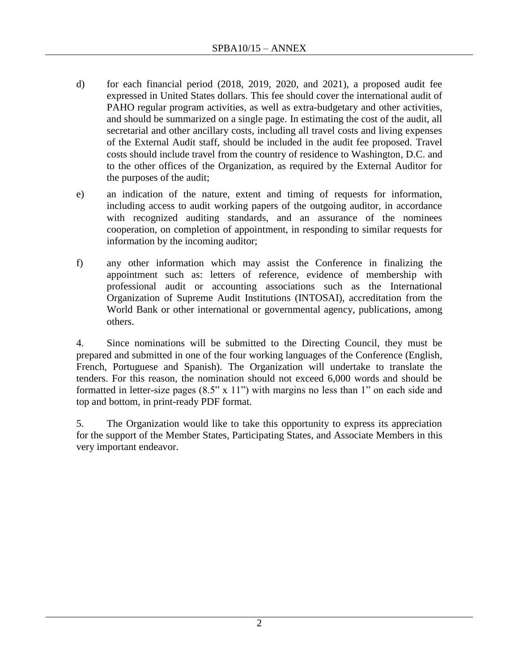- d) for each financial period (2018, 2019, 2020, and 2021), a proposed audit fee expressed in United States dollars. This fee should cover the international audit of PAHO regular program activities, as well as extra-budgetary and other activities, and should be summarized on a single page. In estimating the cost of the audit, all secretarial and other ancillary costs, including all travel costs and living expenses of the External Audit staff, should be included in the audit fee proposed. Travel costs should include travel from the country of residence to Washington, D.C. and to the other offices of the Organization, as required by the External Auditor for the purposes of the audit;
- e) an indication of the nature, extent and timing of requests for information, including access to audit working papers of the outgoing auditor, in accordance with recognized auditing standards, and an assurance of the nominees cooperation, on completion of appointment, in responding to similar requests for information by the incoming auditor;
- f) any other information which may assist the Conference in finalizing the appointment such as: letters of reference, evidence of membership with professional audit or accounting associations such as the International Organization of Supreme Audit Institutions (INTOSAI), accreditation from the World Bank or other international or governmental agency, publications, among others.

4. Since nominations will be submitted to the Directing Council, they must be prepared and submitted in one of the four working languages of the Conference (English, French, Portuguese and Spanish). The Organization will undertake to translate the tenders. For this reason, the nomination should not exceed 6,000 words and should be formatted in letter-size pages (8.5" x 11") with margins no less than 1" on each side and top and bottom, in print-ready PDF format.

5. The Organization would like to take this opportunity to express its appreciation for the support of the Member States, Participating States, and Associate Members in this very important endeavor.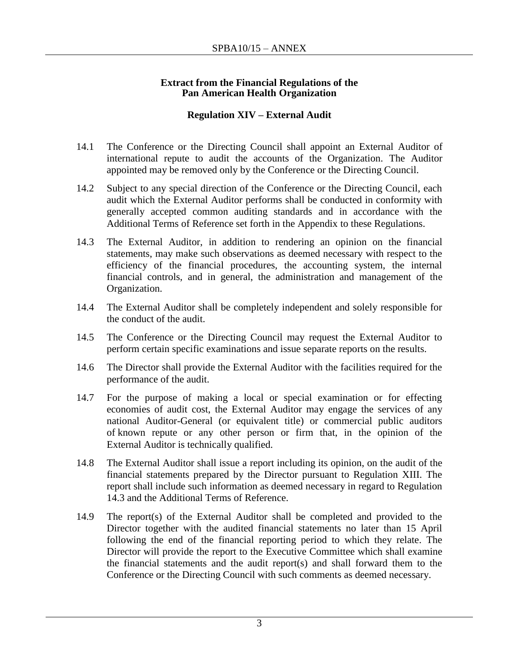#### **Extract from the Financial Regulations of the Pan American Health Organization**

### **Regulation XIV – External Audit**

- 14.1 The Conference or the Directing Council shall appoint an External Auditor of international repute to audit the accounts of the Organization. The Auditor appointed may be removed only by the Conference or the Directing Council.
- 14.2 Subject to any special direction of the Conference or the Directing Council, each audit which the External Auditor performs shall be conducted in conformity with generally accepted common auditing standards and in accordance with the Additional Terms of Reference set forth in the Appendix to these Regulations.
- 14.3 The External Auditor, in addition to rendering an opinion on the financial statements, may make such observations as deemed necessary with respect to the efficiency of the financial procedures, the accounting system, the internal financial controls, and in general, the administration and management of the Organization.
- 14.4 The External Auditor shall be completely independent and solely responsible for the conduct of the audit.
- 14.5 The Conference or the Directing Council may request the External Auditor to perform certain specific examinations and issue separate reports on the results.
- 14.6 The Director shall provide the External Auditor with the facilities required for the performance of the audit.
- 14.7 For the purpose of making a local or special examination or for effecting economies of audit cost, the External Auditor may engage the services of any national Auditor-General (or equivalent title) or commercial public auditors of known repute or any other person or firm that, in the opinion of the External Auditor is technically qualified.
- 14.8 The External Auditor shall issue a report including its opinion, on the audit of the financial statements prepared by the Director pursuant to Regulation XIII. The report shall include such information as deemed necessary in regard to Regulation 14.3 and the Additional Terms of Reference.
- 14.9 The report(s) of the External Auditor shall be completed and provided to the Director together with the audited financial statements no later than 15 April following the end of the financial reporting period to which they relate. The Director will provide the report to the Executive Committee which shall examine the financial statements and the audit report(s) and shall forward them to the Conference or the Directing Council with such comments as deemed necessary.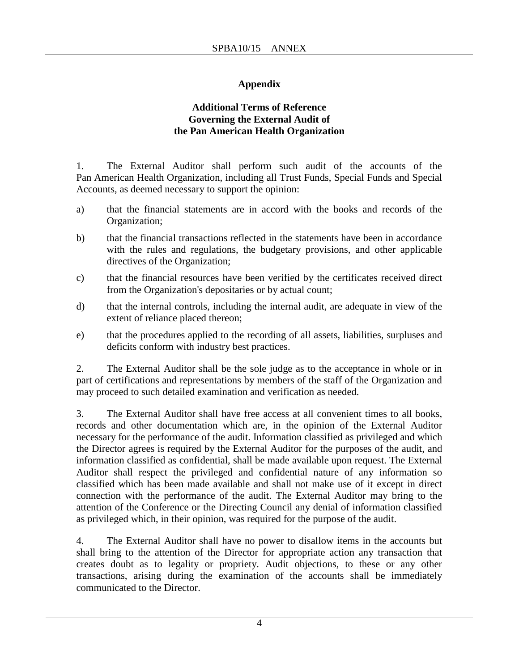## **Appendix**

#### **Additional Terms of Reference Governing the External Audit of the Pan American Health Organization**

1. The External Auditor shall perform such audit of the accounts of the Pan American Health Organization, including all Trust Funds, Special Funds and Special Accounts, as deemed necessary to support the opinion:

- a) that the financial statements are in accord with the books and records of the Organization;
- b) that the financial transactions reflected in the statements have been in accordance with the rules and regulations, the budgetary provisions, and other applicable directives of the Organization;
- c) that the financial resources have been verified by the certificates received direct from the Organization's depositaries or by actual count;
- d) that the internal controls, including the internal audit, are adequate in view of the extent of reliance placed thereon;
- e) that the procedures applied to the recording of all assets, liabilities, surpluses and deficits conform with industry best practices.

2. The External Auditor shall be the sole judge as to the acceptance in whole or in part of certifications and representations by members of the staff of the Organization and may proceed to such detailed examination and verification as needed.

3. The External Auditor shall have free access at all convenient times to all books, records and other documentation which are, in the opinion of the External Auditor necessary for the performance of the audit. Information classified as privileged and which the Director agrees is required by the External Auditor for the purposes of the audit, and information classified as confidential, shall be made available upon request. The External Auditor shall respect the privileged and confidential nature of any information so classified which has been made available and shall not make use of it except in direct connection with the performance of the audit. The External Auditor may bring to the attention of the Conference or the Directing Council any denial of information classified as privileged which, in their opinion, was required for the purpose of the audit.

4. The External Auditor shall have no power to disallow items in the accounts but shall bring to the attention of the Director for appropriate action any transaction that creates doubt as to legality or propriety. Audit objections, to these or any other transactions, arising during the examination of the accounts shall be immediately communicated to the Director.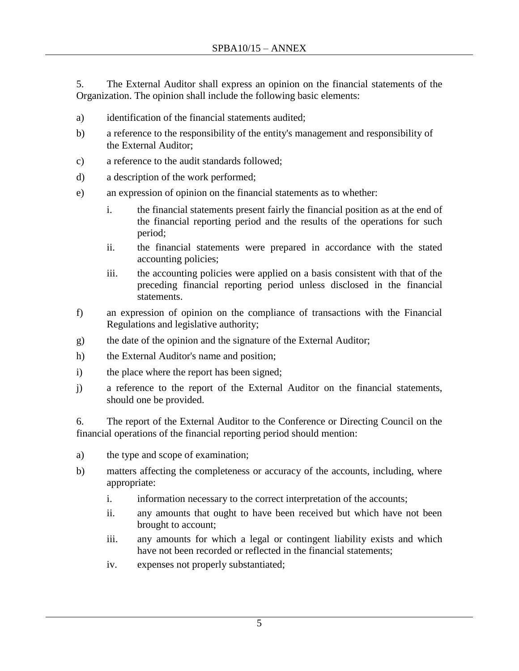5. The External Auditor shall express an opinion on the financial statements of the Organization. The opinion shall include the following basic elements:

- a) identification of the financial statements audited;
- b) a reference to the responsibility of the entity's management and responsibility of the External Auditor;
- c) a reference to the audit standards followed;
- d) a description of the work performed;
- e) an expression of opinion on the financial statements as to whether:
	- i. the financial statements present fairly the financial position as at the end of the financial reporting period and the results of the operations for such period;
	- ii. the financial statements were prepared in accordance with the stated accounting policies;
	- iii. the accounting policies were applied on a basis consistent with that of the preceding financial reporting period unless disclosed in the financial statements.
- f) an expression of opinion on the compliance of transactions with the Financial Regulations and legislative authority;
- g) the date of the opinion and the signature of the External Auditor;
- h) the External Auditor's name and position;
- i) the place where the report has been signed;
- j) a reference to the report of the External Auditor on the financial statements, should one be provided.

6. The report of the External Auditor to the Conference or Directing Council on the financial operations of the financial reporting period should mention:

- a) the type and scope of examination;
- b) matters affecting the completeness or accuracy of the accounts, including, where appropriate:
	- i. information necessary to the correct interpretation of the accounts;
	- ii. any amounts that ought to have been received but which have not been brought to account;
	- iii. any amounts for which a legal or contingent liability exists and which have not been recorded or reflected in the financial statements;
	- iv. expenses not properly substantiated;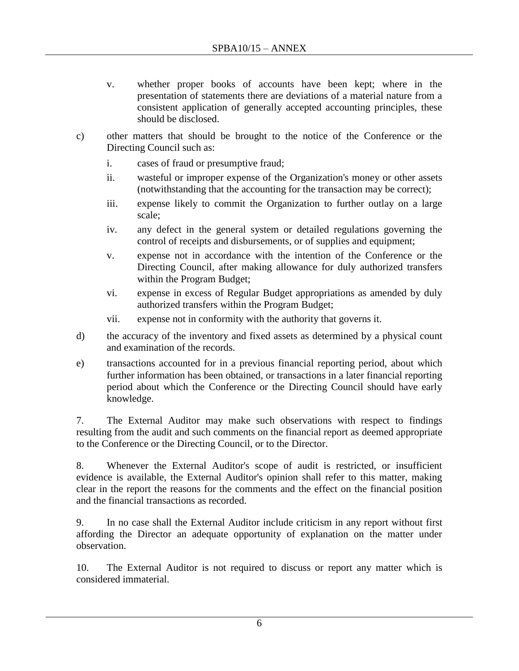- v. whether proper books of accounts have been kept; where in the presentation of statements there are deviations of a material nature from a consistent application of generally accepted accounting principles, these should be disclosed.
- c) other matters that should be brought to the notice of the Conference or the Directing Council such as:
	- i. cases of fraud or presumptive fraud;
	- ii. wasteful or improper expense of the Organization's money or other assets (notwithstanding that the accounting for the transaction may be correct);
	- iii. expense likely to commit the Organization to further outlay on a large scale;
	- iv. any defect in the general system or detailed regulations governing the control of receipts and disbursements, or of supplies and equipment;
	- v. expense not in accordance with the intention of the Conference or the Directing Council, after making allowance for duly authorized transfers within the Program Budget;
	- vi. expense in excess of Regular Budget appropriations as amended by duly authorized transfers within the Program Budget;
	- vii. expense not in conformity with the authority that governs it.
- d) the accuracy of the inventory and fixed assets as determined by a physical count and examination of the records.
- e) transactions accounted for in a previous financial reporting period, about which further information has been obtained, or transactions in a later financial reporting period about which the Conference or the Directing Council should have early knowledge.

7. The External Auditor may make such observations with respect to findings resulting from the audit and such comments on the financial report as deemed appropriate to the Conference or the Directing Council, or to the Director.

8. Whenever the External Auditor's scope of audit is restricted, or insufficient evidence is available, the External Auditor's opinion shall refer to this matter, making clear in the report the reasons for the comments and the effect on the financial position and the financial transactions as recorded.

9. In no case shall the External Auditor include criticism in any report without first affording the Director an adequate opportunity of explanation on the matter under observation.

10. The External Auditor is not required to discuss or report any matter which is considered immaterial.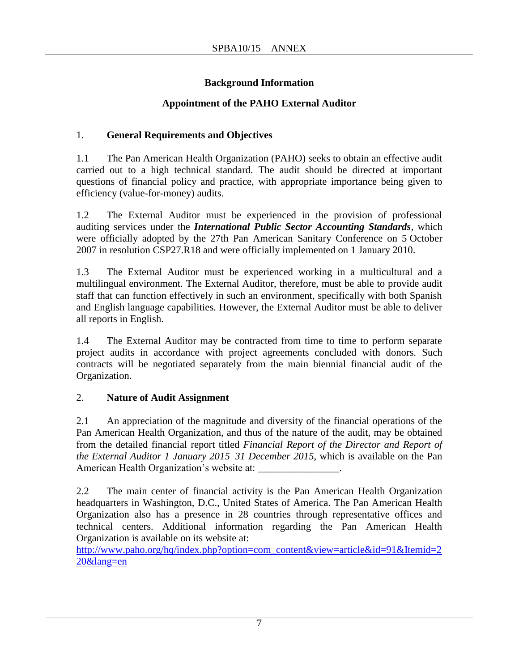## **Background Information**

# **Appointment of the PAHO External Auditor**

# 1. **General Requirements and Objectives**

1.1 The Pan American Health Organization (PAHO) seeks to obtain an effective audit carried out to a high technical standard. The audit should be directed at important questions of financial policy and practice, with appropriate importance being given to efficiency (value-for-money) audits.

1.2 The External Auditor must be experienced in the provision of professional auditing services under the *International Public Sector Accounting Standards*, which were officially adopted by the 27th Pan American Sanitary Conference on 5 October 2007 in resolution CSP27.R18 and were officially implemented on 1 January 2010.

1.3 The External Auditor must be experienced working in a multicultural and a multilingual environment. The External Auditor, therefore, must be able to provide audit staff that can function effectively in such an environment, specifically with both Spanish and English language capabilities. However, the External Auditor must be able to deliver all reports in English.

1.4 The External Auditor may be contracted from time to time to perform separate project audits in accordance with project agreements concluded with donors. Such contracts will be negotiated separately from the main biennial financial audit of the Organization.

# 2. **Nature of Audit Assignment**

2.1 An appreciation of the magnitude and diversity of the financial operations of the Pan American Health Organization, and thus of the nature of the audit, may be obtained from the detailed financial report titled *Financial Report of the Director and Report of the External Auditor 1 January 2015–31 December 2015*, which is available on the Pan American Health Organization's website at: \_\_\_\_\_\_\_\_\_\_\_\_\_\_\_.

2.2 The main center of financial activity is the Pan American Health Organization headquarters in Washington, D.C., United States of America. The Pan American Health Organization also has a presence in 28 countries through representative offices and technical centers. Additional information regarding the Pan American Health Organization is available on its website at:

[http://www.paho.org/hq/index.php?option=com\\_content&view=article&id=91&Itemid=2](http://www.paho.org/hq/index.php?option=com_content&view=article&id=91&Itemid=220&lang=en) [20&lang=en](http://www.paho.org/hq/index.php?option=com_content&view=article&id=91&Itemid=220&lang=en)